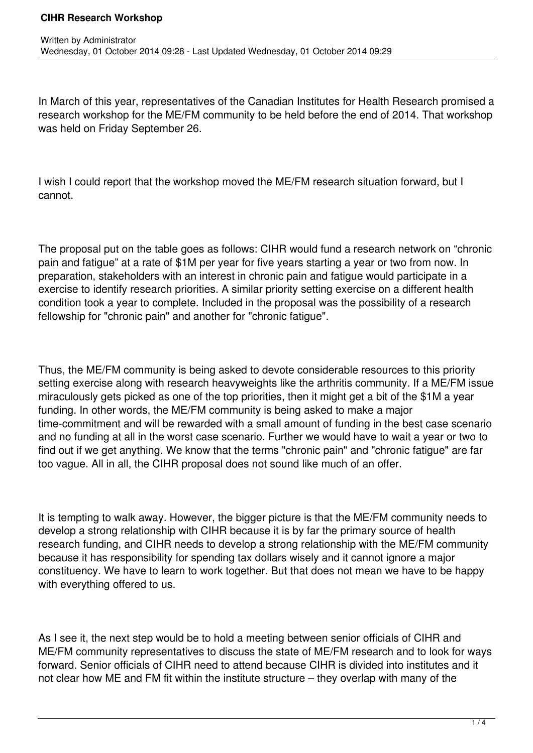## **CIHR Research Workshop**

In March of this year, representatives of the Canadian Institutes for Health Research promised a research workshop for the ME/FM community to be held before the end of 2014. That workshop was held on Friday September 26.

I wish I could report that the workshop moved the ME/FM research situation forward, but I cannot.

The proposal put on the table goes as follows: CIHR would fund a research network on "chronic pain and fatigue" at a rate of \$1M per year for five years starting a year or two from now. In preparation, stakeholders with an interest in chronic pain and fatigue would participate in a exercise to identify research priorities. A similar priority setting exercise on a different health condition took a year to complete. Included in the proposal was the possibility of a research fellowship for "chronic pain" and another for "chronic fatigue".

Thus, the ME/FM community is being asked to devote considerable resources to this priority setting exercise along with research heavyweights like the arthritis community. If a ME/FM issue miraculously gets picked as one of the top priorities, then it might get a bit of the \$1M a year funding. In other words, the ME/FM community is being asked to make a major time-commitment and will be rewarded with a small amount of funding in the best case scenario and no funding at all in the worst case scenario. Further we would have to wait a year or two to find out if we get anything. We know that the terms "chronic pain" and "chronic fatigue" are far too vague. All in all, the CIHR proposal does not sound like much of an offer.

It is tempting to walk away. However, the bigger picture is that the ME/FM community needs to develop a strong relationship with CIHR because it is by far the primary source of health research funding, and CIHR needs to develop a strong relationship with the ME/FM community because it has responsibility for spending tax dollars wisely and it cannot ignore a major constituency. We have to learn to work together. But that does not mean we have to be happy with everything offered to us.

As I see it, the next step would be to hold a meeting between senior officials of CIHR and ME/FM community representatives to discuss the state of ME/FM research and to look for ways forward. Senior officials of CIHR need to attend because CIHR is divided into institutes and it not clear how ME and FM fit within the institute structure – they overlap with many of the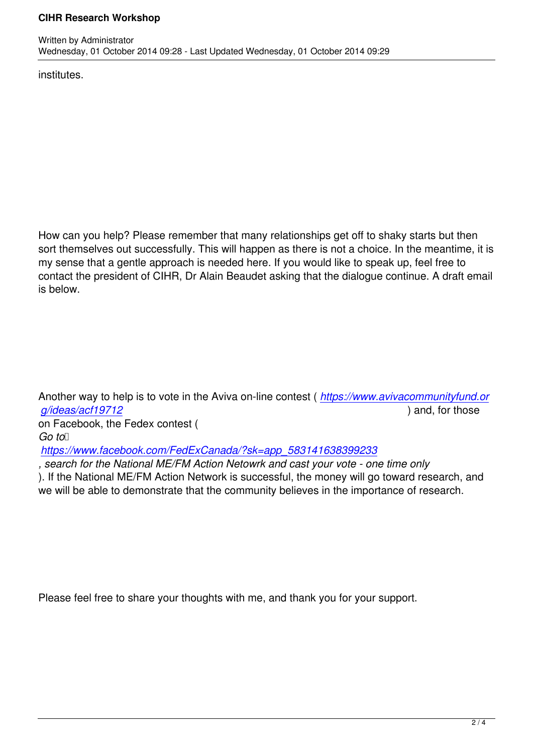institutes.

Written by Administrator and Administrator and Administrator and Administrator and Administrator and Administrator and Administrator and Administrator and Administrator and Administrator and Administrator and Administrator

How can you help? Please remember that many relationships get off to shaky starts but then sort themselves out successfully. This will happen as there is not a choice. In the meantime, it is my sense that a gentle approach is needed here. If you would like to speak up, feel free to contact the president of CIHR, Dr Alain Beaudet asking that the dialogue continue. A draft email is below.

Another way to help is to vote in the Aviva on-line contest ( *https://www.avivacommunityfund.or g/ideas/acf19712* ) and, for those

on Facebook, the Fedex contest (  $Go$  to  $\Box$ 

*[https://www.faceb](https://www.avivacommunityfund.org/ideas/acf19712)ook.com/FedExCanada/?sk=app\_58314[1638399233](https://www.avivacommunityfund.org/ideas/acf19712)*

*, search for the National ME/FM Action Netowrk and cast your vote - one time only*

). If the National ME/FM Action Network is successful, the money will go toward research, and [we will be able to demonstrate that the community believes in the impor](https://www.facebook.com/FedExCanada/?sk=app_583141638399233)tance of research.

Please feel free to share your thoughts with me, and thank you for your support.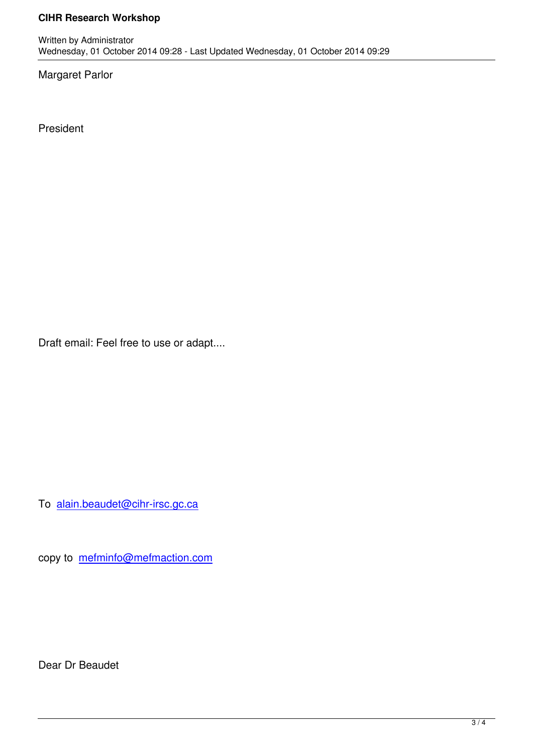Wednesday, 01 October 2014 09:28 - Last Updated Wednesday, 01 October 2014 09:29

Margaret Parlor

Written by Administrator and Administrator and Administrator and Administrator and Administrator and Administrator and Administrator and Administrator and Administrator and Administrator and Administrator and Administrator

President

Draft email: Feel free to use or adapt....

To alain.beaudet@cihr-irsc.gc.ca

copy to [mefminfo@mefmaction.co](mailto:alain.beaudet@cihr-irsc.gc.ca)m

Dear Dr Beaudet